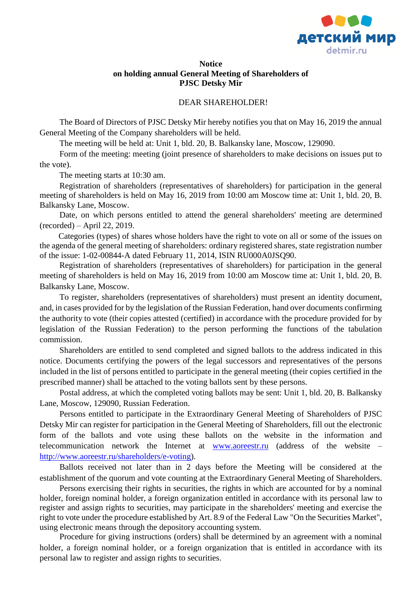

## **Notice on holding annual General Meeting of Shareholders of PJSC Detsky Mir**

## DEAR SHAREHOLDER!

The Board of Directors of PJSC Detsky Mir hereby notifies you that on May 16, 2019 the annual General Meeting of the Company shareholders will be held.

The meeting will be held at: Unit 1, bld. 20, B. Balkansky lane, Moscow, 129090.

Form of the meeting: meeting (joint presence of shareholders to make decisions on issues put to the vote).

The meeting starts at 10:30 am.

Registration of shareholders (representatives of shareholders) for participation in the general meeting of shareholders is held on May 16, 2019 from 10:00 am Moscow time at: Unit 1, bld. 20, B. Balkansky Lane, Moscow.

Date, on which persons entitled to attend the general shareholders' meeting are determined (recorded) – April 22, 2019.

Categories (types) of shares whose holders have the right to vote on all or some of the issues on the agenda of the general meeting of shareholders: ordinary registered shares, state registration number of the issue: 1-02-00844-A dated February 11, 2014, ISIN RU000A0JSQ90.

Registration of shareholders (representatives of shareholders) for participation in the general meeting of shareholders is held on May 16, 2019 from 10:00 am Moscow time at: Unit 1, bld. 20, B. Balkansky Lane, Moscow.

To register, shareholders (representatives of shareholders) must present an identity document, and, in cases provided for by the legislation of the Russian Federation, hand over documents confirming the authority to vote (their copies attested (certified) in accordance with the procedure provided for by legislation of the Russian Federation) to the person performing the functions of the tabulation commission.

Shareholders are entitled to send completed and signed ballots to the address indicated in this notice. Documents certifying the powers of the legal successors and representatives of the persons included in the list of persons entitled to participate in the general meeting (their copies certified in the prescribed manner) shall be attached to the voting ballots sent by these persons.

Postal address, at which the completed voting ballots may be sent: Unit 1, bld. 20, B. Balkansky Lane, Moscow, 129090, Russian Federation.

Persons entitled to participate in the Extraordinary General Meeting of Shareholders of PJSC Detsky Mir can register for participation in the General Meeting of Shareholders, fill out the electronic form of the ballots and vote using these ballots on the website in the information and telecommunication network the Internet at [www.aoreestr.ru](http://www.aoreestr.ru/) (address of the website – [http://www.aoreestr.ru/shareholders/e-voting\)](http://www.aoreestr.ru/shareholders/e-voting).

Ballots received not later than in 2 days before the Meeting will be considered at the establishment of the quorum and vote counting at the Extraordinary General Meeting of Shareholders.

Persons exercising their rights in securities, the rights in which are accounted for by a nominal holder, foreign nominal holder, a foreign organization entitled in accordance with its personal law to register and assign rights to securities, may participate in the shareholders' meeting and exercise the right to vote under the procedure established by Art. 8.9 of the Federal Law "On the Securities Market", using electronic means through the depository accounting system.

Procedure for giving instructions (orders) shall be determined by an agreement with a nominal holder, a foreign nominal holder, or a foreign organization that is entitled in accordance with its personal law to register and assign rights to securities.